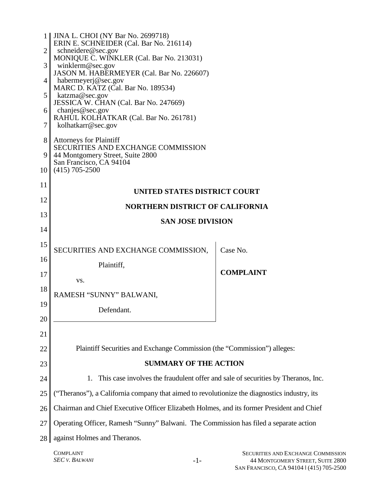|                | 1    JINA L. CHOI (NY Bar No. 2699718)<br>ERIN E. SCHNEIDER (Cal. Bar No. 216114)            |                  |  |
|----------------|----------------------------------------------------------------------------------------------|------------------|--|
| $\overline{2}$ | schneidere@sec.gov                                                                           |                  |  |
| 3              | MONIQUE C. WINKLER (Cal. Bar No. 213031)<br>winklerm@sec.gov                                 |                  |  |
|                | JASON M. HABERMEYER (Cal. Bar No. 226607)                                                    |                  |  |
| 4              | habermeyerj@sec.gov                                                                          |                  |  |
| 5              | MARC D. KATZ (Cal. Bar No. 189534)<br>katzma@sec.gov                                         |                  |  |
|                | JESSICA W. CHAN (Cal. Bar No. 247669)                                                        |                  |  |
| 6              | chanjes@sec.gov                                                                              |                  |  |
| 7              | RAHUL KOLHATKAR (Cal. Bar No. 261781)<br>kolhatkarr@sec.gov                                  |                  |  |
|                |                                                                                              |                  |  |
| 8              | <b>Attorneys for Plaintiff</b><br>SECURITIES AND EXCHANGE COMMISSION                         |                  |  |
| 9              | 44 Montgomery Street, Suite 2800                                                             |                  |  |
| 10             | San Francisco, CA 94104<br>$(415)$ 705-2500                                                  |                  |  |
|                |                                                                                              |                  |  |
| 11             | UNITED STATES DISTRICT COURT                                                                 |                  |  |
| 12             |                                                                                              |                  |  |
| 13             | <b>NORTHERN DISTRICT OF CALIFORNIA</b>                                                       |                  |  |
|                | <b>SAN JOSE DIVISION</b>                                                                     |                  |  |
| 14             |                                                                                              |                  |  |
| 15             |                                                                                              |                  |  |
| 16             | SECURITIES AND EXCHANGE COMMISSION,                                                          | Case No.         |  |
|                | Plaintiff,                                                                                   |                  |  |
| 17             | VS.                                                                                          | <b>COMPLAINT</b> |  |
| 18             |                                                                                              |                  |  |
|                | RAMESH "SUNNY" BALWANI,                                                                      |                  |  |
| 19             | Defendant.                                                                                   |                  |  |
| 20             |                                                                                              |                  |  |
| 21             |                                                                                              |                  |  |
| 22             | Plaintiff Securities and Exchange Commission (the "Commission") alleges:                     |                  |  |
|                |                                                                                              |                  |  |
| 23             | <b>SUMMARY OF THE ACTION</b>                                                                 |                  |  |
| 24             | This case involves the fraudulent offer and sale of securities by Theranos, Inc.<br>1.       |                  |  |
| 25             | ("Theranos"), a California company that aimed to revolutionize the diagnostics industry, its |                  |  |
| 26             | Chairman and Chief Executive Officer Elizabeth Holmes, and its former President and Chief    |                  |  |
| 27             | Operating Officer, Ramesh "Sunny" Balwani. The Commission has filed a separate action        |                  |  |
| 28             | against Holmes and Theranos.                                                                 |                  |  |
|                |                                                                                              |                  |  |

COMPLAINT *SEC V. BALWANI* -1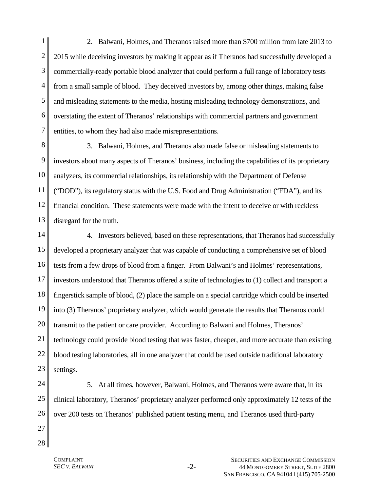1 2 3 4 5 6 7 2. Balwani, Holmes, and Theranos raised more than \$700 million from late 2013 to 2015 while deceiving investors by making it appear as if Theranos had successfully developed a commercially-ready portable blood analyzer that could perform a full range of laboratory tests from a small sample of blood. They deceived investors by, among other things, making false and misleading statements to the media, hosting misleading technology demonstrations, and overstating the extent of Theranos' relationships with commercial partners and government entities, to whom they had also made misrepresentations.

8 9 10 11 12 13 3. Balwani, Holmes, and Theranos also made false or misleading statements to investors about many aspects of Theranos' business, including the capabilities of its proprietary analyzers, its commercial relationships, its relationship with the Department of Defense ("DOD"), its regulatory status with the U.S. Food and Drug Administration ("FDA"), and its financial condition. These statements were made with the intent to deceive or with reckless disregard for the truth.

14 15 16 17 18 19 20 21 22 23 4. Investors believed, based on these representations, that Theranos had successfully developed a proprietary analyzer that was capable of conducting a comprehensive set of blood tests from a few drops of blood from a finger. From Balwani's and Holmes' representations, investors understood that Theranos offered a suite of technologies to (1) collect and transport a fingerstick sample of blood, (2) place the sample on a special cartridge which could be inserted into (3) Theranos' proprietary analyzer, which would generate the results that Theranos could transmit to the patient or care provider. According to Balwani and Holmes, Theranos' technology could provide blood testing that was faster, cheaper, and more accurate than existing blood testing laboratories, all in one analyzer that could be used outside traditional laboratory settings.

24

25 26 5. At all times, however, Balwani, Holmes, and Theranos were aware that, in its clinical laboratory, Theranos' proprietary analyzer performed only approximately 12 tests of the over 200 tests on Theranos' published patient testing menu, and Theranos used third-party

27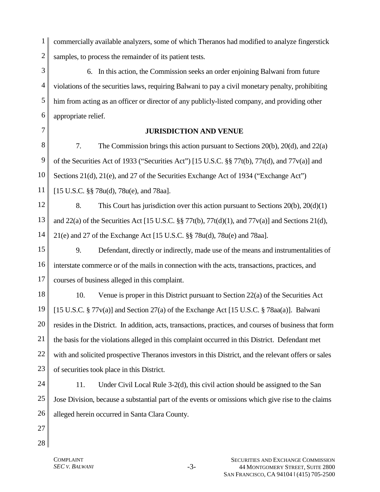1 2 commercially available analyzers, some of which Theranos had modified to analyze fingerstick samples, to process the remainder of its patient tests.

3 4 5 6 6. In this action, the Commission seeks an order enjoining Balwani from future violations of the securities laws, requiring Balwani to pay a civil monetary penalty, prohibiting him from acting as an officer or director of any publicly-listed company, and providing other appropriate relief.

7

#### **JURISDICTION AND VENUE**

8 9 10 11 7. The Commission brings this action pursuant to Sections 20(b), 20(d), and 22(a) of the Securities Act of 1933 ("Securities Act") [15 U.S.C. §§ 77t(b), 77t(d), and 77v(a)] and Sections 21(d), 21(e), and 27 of the Securities Exchange Act of 1934 ("Exchange Act") [15 U.S.C. §§ 78u(d), 78u(e), and 78aa].

12 13 14 8. This Court has jurisdiction over this action pursuant to Sections 20(b), 20(d)(1) and 22(a) of the Securities Act [15 U.S.C.  $\S$  77t(b), 77t(d)(1), and 77v(a)] and Sections 21(d), 21(e) and 27 of the Exchange Act [15 U.S.C. §§ 78u(d), 78u(e) and 78aa].

15 16 17 9. Defendant, directly or indirectly, made use of the means and instrumentalities of interstate commerce or of the mails in connection with the acts, transactions, practices, and courses of business alleged in this complaint.

18 19 20 21 22 23 10. Venue is proper in this District pursuant to Section 22(a) of the Securities Act [15 U.S.C. § 77v(a)] and Section 27(a) of the Exchange Act [15 U.S.C. § 78aa(a)]. Balwani resides in the District. In addition, acts, transactions, practices, and courses of business that form the basis for the violations alleged in this complaint occurred in this District. Defendant met with and solicited prospective Theranos investors in this District, and the relevant offers or sales of securities took place in this District.

- 24 25 26 11. Under Civil Local Rule 3-2(d), this civil action should be assigned to the San Jose Division, because a substantial part of the events or omissions which give rise to the claims alleged herein occurred in Santa Clara County.
- 27
- 28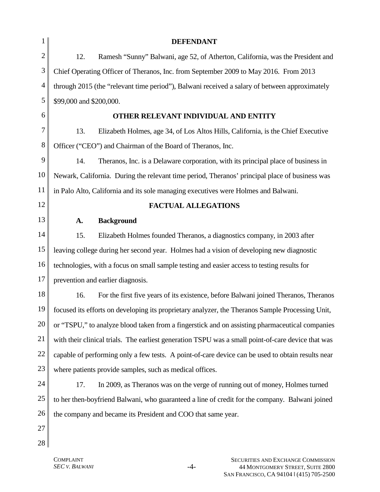| 1              |                                                                                                    | <b>DEFENDANT</b>                                                                                  |  |
|----------------|----------------------------------------------------------------------------------------------------|---------------------------------------------------------------------------------------------------|--|
| $\overline{2}$ | 12.                                                                                                | Ramesh "Sunny" Balwani, age 52, of Atherton, California, was the President and                    |  |
| 3              |                                                                                                    | Chief Operating Officer of Theranos, Inc. from September 2009 to May 2016. From 2013              |  |
| 4              | through 2015 (the "relevant time period"), Balwani received a salary of between approximately      |                                                                                                   |  |
| 5              | \$99,000 and \$200,000.                                                                            |                                                                                                   |  |
| 6              |                                                                                                    | OTHER RELEVANT INDIVIDUAL AND ENTITY                                                              |  |
| 7              | 13.                                                                                                | Elizabeth Holmes, age 34, of Los Altos Hills, California, is the Chief Executive                  |  |
| 8              |                                                                                                    | Officer ("CEO") and Chairman of the Board of Theranos, Inc.                                       |  |
| 9              | 14.                                                                                                | Theranos, Inc. is a Delaware corporation, with its principal place of business in                 |  |
| 10             |                                                                                                    | Newark, California. During the relevant time period, Theranos' principal place of business was    |  |
| 11             | in Palo Alto, California and its sole managing executives were Holmes and Balwani.                 |                                                                                                   |  |
| 12             |                                                                                                    | <b>FACTUAL ALLEGATIONS</b>                                                                        |  |
| 13             | A.                                                                                                 | <b>Background</b>                                                                                 |  |
| 14             | 15.                                                                                                | Elizabeth Holmes founded Theranos, a diagnostics company, in 2003 after                           |  |
| 15             |                                                                                                    | leaving college during her second year. Holmes had a vision of developing new diagnostic          |  |
| 16             | technologies, with a focus on small sample testing and easier access to testing results for        |                                                                                                   |  |
| 17             |                                                                                                    | prevention and earlier diagnosis.                                                                 |  |
| 18             | 16.                                                                                                | For the first five years of its existence, before Balwani joined Theranos, Theranos               |  |
| 19             |                                                                                                    | focused its efforts on developing its proprietary analyzer, the Theranos Sample Processing Unit,  |  |
| 20             |                                                                                                    | or "TSPU," to analyze blood taken from a fingerstick and on assisting pharmaceutical companies    |  |
| 21             | with their clinical trials. The earliest generation TSPU was a small point-of-care device that was |                                                                                                   |  |
| 22             |                                                                                                    | capable of performing only a few tests. A point-of-care device can be used to obtain results near |  |
| 23             |                                                                                                    | where patients provide samples, such as medical offices.                                          |  |
| 24             | 17.                                                                                                | In 2009, as Theranos was on the verge of running out of money, Holmes turned                      |  |
| 25             |                                                                                                    | to her then-boyfriend Balwani, who guaranteed a line of credit for the company. Balwani joined    |  |
| 26             |                                                                                                    | the company and became its President and COO that same year.                                      |  |
| 27             |                                                                                                    |                                                                                                   |  |
| 28             |                                                                                                    |                                                                                                   |  |
|                |                                                                                                    |                                                                                                   |  |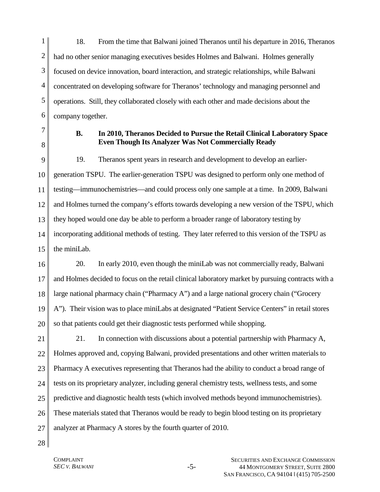1 2 3 4 5 6 18. From the time that Balwani joined Theranos until his departure in 2016, Theranos had no other senior managing executives besides Holmes and Balwani. Holmes generally focused on device innovation, board interaction, and strategic relationships, while Balwani concentrated on developing software for Theranos' technology and managing personnel and operations. Still, they collaborated closely with each other and made decisions about the company together.

- 7 8
- **B. In 2010, Theranos Decided to Pursue the Retail Clinical Laboratory Space Even Though Its Analyzer Was Not Commercially Ready**

9 10 11 12 13 14 15 19. Theranos spent years in research and development to develop an earliergeneration TSPU. The earlier-generation TSPU was designed to perform only one method of testing—immunochemistries—and could process only one sample at a time. In 2009, Balwani and Holmes turned the company's efforts towards developing a new version of the TSPU, which they hoped would one day be able to perform a broader range of laboratory testing by incorporating additional methods of testing. They later referred to this version of the TSPU as the miniLab.

16 17 18 19 20 20. In early 2010, even though the miniLab was not commercially ready, Balwani and Holmes decided to focus on the retail clinical laboratory market by pursuing contracts with a large national pharmacy chain ("Pharmacy A") and a large national grocery chain ("Grocery A"). Their vision was to place miniLabs at designated "Patient Service Centers" in retail stores so that patients could get their diagnostic tests performed while shopping.

21 22 23 24 25 26 27 21. In connection with discussions about a potential partnership with Pharmacy A, Holmes approved and, copying Balwani, provided presentations and other written materials to Pharmacy A executives representing that Theranos had the ability to conduct a broad range of tests on its proprietary analyzer, including general chemistry tests, wellness tests, and some predictive and diagnostic health tests (which involved methods beyond immunochemistries). These materials stated that Theranos would be ready to begin blood testing on its proprietary analyzer at Pharmacy A stores by the fourth quarter of 2010.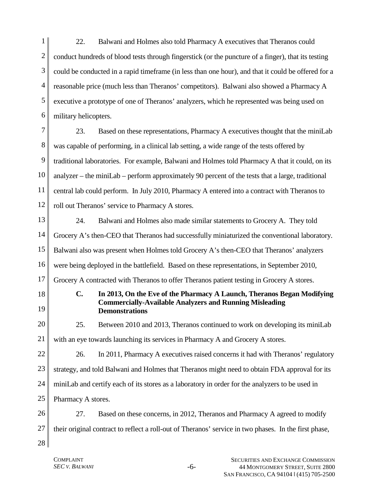1 2 3 4 5 6 22. Balwani and Holmes also told Pharmacy A executives that Theranos could conduct hundreds of blood tests through fingerstick (or the puncture of a finger), that its testing could be conducted in a rapid timeframe (in less than one hour), and that it could be offered for a reasonable price (much less than Theranos' competitors). Balwani also showed a Pharmacy A executive a prototype of one of Theranos' analyzers, which he represented was being used on military helicopters.

7 8 9 10 11 12 23. Based on these representations, Pharmacy A executives thought that the miniLab was capable of performing, in a clinical lab setting, a wide range of the tests offered by traditional laboratories. For example, Balwani and Holmes told Pharmacy A that it could, on its analyzer – the miniLab – perform approximately 90 percent of the tests that a large, traditional central lab could perform. In July 2010, Pharmacy A entered into a contract with Theranos to roll out Theranos' service to Pharmacy A stores.

13 14 15 16 17 24. Balwani and Holmes also made similar statements to Grocery A. They told Grocery A's then-CEO that Theranos had successfully miniaturized the conventional laboratory. Balwani also was present when Holmes told Grocery A's then-CEO that Theranos' analyzers were being deployed in the battlefield. Based on these representations, in September 2010, Grocery A contracted with Theranos to offer Theranos patient testing in Grocery A stores.

18

19

**C. In 2013, On the Eve of the Pharmacy A Launch, Theranos Began Modifying Commercially-Available Analyzers and Running Misleading Demonstrations** 

20 21 25. Between 2010 and 2013, Theranos continued to work on developing its miniLab with an eye towards launching its services in Pharmacy A and Grocery A stores.

22 23 24 25 26. In 2011, Pharmacy A executives raised concerns it had with Theranos' regulatory strategy, and told Balwani and Holmes that Theranos might need to obtain FDA approval for its miniLab and certify each of its stores as a laboratory in order for the analyzers to be used in Pharmacy A stores.

26 27 28 27. Based on these concerns, in 2012, Theranos and Pharmacy A agreed to modify their original contract to reflect a roll-out of Theranos' service in two phases. In the first phase,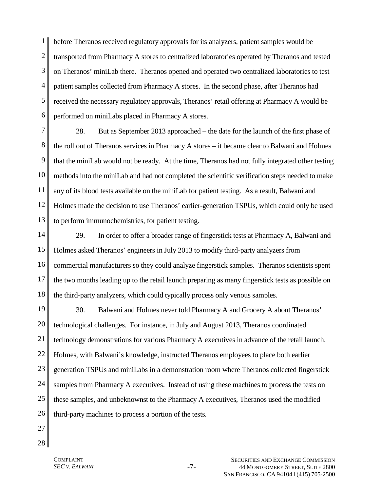1 2 3 4 5 6 before Theranos received regulatory approvals for its analyzers, patient samples would be transported from Pharmacy A stores to centralized laboratories operated by Theranos and tested on Theranos' miniLab there. Theranos opened and operated two centralized laboratories to test patient samples collected from Pharmacy A stores. In the second phase, after Theranos had received the necessary regulatory approvals, Theranos' retail offering at Pharmacy A would be performed on miniLabs placed in Pharmacy A stores.

7 8 9 10 11 12 13 28. But as September 2013 approached – the date for the launch of the first phase of the roll out of Theranos services in Pharmacy A stores – it became clear to Balwani and Holmes that the miniLab would not be ready. At the time, Theranos had not fully integrated other testing methods into the miniLab and had not completed the scientific verification steps needed to make any of its blood tests available on the miniLab for patient testing. As a result, Balwani and Holmes made the decision to use Theranos' earlier-generation TSPUs, which could only be used to perform immunochemistries, for patient testing.

14 15 16 17 18 29. In order to offer a broader range of fingerstick tests at Pharmacy A, Balwani and Holmes asked Theranos' engineers in July 2013 to modify third-party analyzers from commercial manufacturers so they could analyze fingerstick samples. Theranos scientists spent the two months leading up to the retail launch preparing as many fingerstick tests as possible on the third-party analyzers, which could typically process only venous samples.

19 20 21 22 23 24 25 26 30. Balwani and Holmes never told Pharmacy A and Grocery A about Theranos' technological challenges. For instance, in July and August 2013, Theranos coordinated technology demonstrations for various Pharmacy A executives in advance of the retail launch. Holmes, with Balwani's knowledge, instructed Theranos employees to place both earlier generation TSPUs and miniLabs in a demonstration room where Theranos collected fingerstick samples from Pharmacy A executives. Instead of using these machines to process the tests on these samples, and unbeknownst to the Pharmacy A executives, Theranos used the modified third-party machines to process a portion of the tests.

- 27 28
- COMPLAINT *SEC V. BALWANI* -7-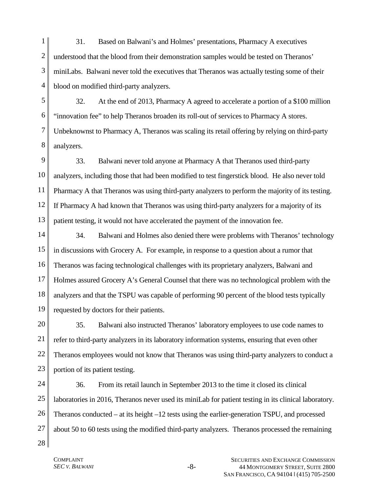1 2 3 4 31. Based on Balwani's and Holmes' presentations, Pharmacy A executives understood that the blood from their demonstration samples would be tested on Theranos' miniLabs. Balwani never told the executives that Theranos was actually testing some of their blood on modified third-party analyzers.

5 6 7 8 32. At the end of 2013, Pharmacy A agreed to accelerate a portion of a \$100 million "innovation fee" to help Theranos broaden its roll-out of services to Pharmacy A stores. Unbeknownst to Pharmacy A, Theranos was scaling its retail offering by relying on third-party analyzers.

9 10 11 12 13 33. Balwani never told anyone at Pharmacy A that Theranos used third-party analyzers, including those that had been modified to test fingerstick blood. He also never told Pharmacy A that Theranos was using third-party analyzers to perform the majority of its testing. If Pharmacy A had known that Theranos was using third-party analyzers for a majority of its patient testing, it would not have accelerated the payment of the innovation fee.

14 15 16 17 18 19 34. Balwani and Holmes also denied there were problems with Theranos' technology in discussions with Grocery A. For example, in response to a question about a rumor that Theranos was facing technological challenges with its proprietary analyzers, Balwani and Holmes assured Grocery A's General Counsel that there was no technological problem with the analyzers and that the TSPU was capable of performing 90 percent of the blood tests typically requested by doctors for their patients.

20 21 22 23 35. Balwani also instructed Theranos' laboratory employees to use code names to refer to third-party analyzers in its laboratory information systems, ensuring that even other Theranos employees would not know that Theranos was using third-party analyzers to conduct a portion of its patient testing.

24 25 26 27 36. From its retail launch in September 2013 to the time it closed its clinical laboratories in 2016, Theranos never used its miniLab for patient testing in its clinical laboratory. Theranos conducted – at its height –12 tests using the earlier-generation TSPU, and processed about 50 to 60 tests using the modified third-party analyzers. Theranos processed the remaining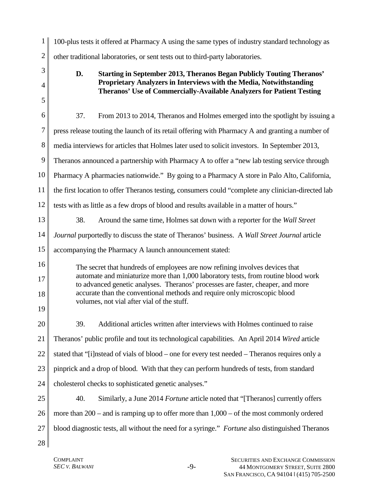| 1              | 100-plus tests it offered at Pharmacy A using the same types of industry standard technology as                                                                       |  |
|----------------|-----------------------------------------------------------------------------------------------------------------------------------------------------------------------|--|
| $\overline{c}$ | other traditional laboratories, or sent tests out to third-party laboratories.                                                                                        |  |
| 3              | D.<br><b>Starting in September 2013, Theranos Began Publicly Touting Theranos'</b>                                                                                    |  |
| $\overline{4}$ | Proprietary Analyzers in Interviews with the Media, Notwithstanding<br>Theranos' Use of Commercially-Available Analyzers for Patient Testing                          |  |
| 5              |                                                                                                                                                                       |  |
| 6              | 37.<br>From 2013 to 2014, Theranos and Holmes emerged into the spotlight by issuing a                                                                                 |  |
| 7              | press release touting the launch of its retail offering with Pharmacy A and granting a number of                                                                      |  |
| 8              | media interviews for articles that Holmes later used to solicit investors. In September 2013,                                                                         |  |
| 9              | Theranos announced a partnership with Pharmacy A to offer a "new lab testing service through                                                                          |  |
| 10             | Pharmacy A pharmacies nationwide." By going to a Pharmacy A store in Palo Alto, California,                                                                           |  |
| 11             | the first location to offer Theranos testing, consumers could "complete any clinician-directed lab                                                                    |  |
| 12             | tests with as little as a few drops of blood and results available in a matter of hours."                                                                             |  |
| 13             | 38.<br>Around the same time, Holmes sat down with a reporter for the Wall Street                                                                                      |  |
| 14             | Journal purportedly to discuss the state of Theranos' business. A Wall Street Journal article                                                                         |  |
| 15             | accompanying the Pharmacy A launch announcement stated:                                                                                                               |  |
| 16             | The secret that hundreds of employees are now refining involves devices that                                                                                          |  |
| 17             | automate and miniaturize more than 1,000 laboratory tests, from routine blood work<br>to advanced genetic analyses. Theranos' processes are faster, cheaper, and more |  |
| 18             | accurate than the conventional methods and require only microscopic blood<br>volumes, not vial after vial of the stuff.                                               |  |
| 19             |                                                                                                                                                                       |  |
| 20             | Additional articles written after interviews with Holmes continued to raise<br>39.                                                                                    |  |
| 21             | Theranos' public profile and tout its technological capabilities. An April 2014 Wired article                                                                         |  |
| 22             | stated that "[i]nstead of vials of blood – one for every test needed – Theranos requires only a                                                                       |  |
| 23             | pinprick and a drop of blood. With that they can perform hundreds of tests, from standard                                                                             |  |
| 24             | cholesterol checks to sophisticated genetic analyses."                                                                                                                |  |
| 25             | 40.<br>Similarly, a June 2014 Fortune article noted that "[Theranos] currently offers                                                                                 |  |
| 26             | more than $200$ – and is ramping up to offer more than $1,000$ – of the most commonly ordered                                                                         |  |
| 27             | blood diagnostic tests, all without the need for a syringe." Fortune also distinguished Theranos                                                                      |  |
| 28             |                                                                                                                                                                       |  |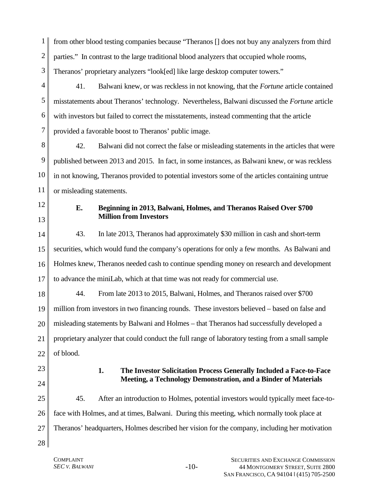1 2 3 from other blood testing companies because "Theranos [] does not buy any analyzers from third parties." In contrast to the large traditional blood analyzers that occupied whole rooms, Theranos' proprietary analyzers "look[ed] like large desktop computer towers."

4 5 6 7 41. Balwani knew, or was reckless in not knowing, that the *Fortune* article contained misstatements about Theranos' technology. Nevertheless, Balwani discussed the *Fortune* article with investors but failed to correct the misstatements, instead commenting that the article provided a favorable boost to Theranos' public image.

8 9 10 11 42. Balwani did not correct the false or misleading statements in the articles that were published between 2013 and 2015. In fact, in some instances, as Balwani knew, or was reckless in not knowing, Theranos provided to potential investors some of the articles containing untrue or misleading statements.

12 13

### **E. Beginning in 2013, Balwani, Holmes, and Theranos Raised Over \$700 Million from Investors**

14 15 16 17 43. In late 2013, Theranos had approximately \$30 million in cash and short-term securities, which would fund the company's operations for only a few months. As Balwani and Holmes knew, Theranos needed cash to continue spending money on research and development to advance the miniLab, which at that time was not ready for commercial use.

18 19 20 21 22 44. From late 2013 to 2015, Balwani, Holmes, and Theranos raised over \$700 million from investors in two financing rounds. These investors believed – based on false and misleading statements by Balwani and Holmes – that Theranos had successfully developed a proprietary analyzer that could conduct the full range of laboratory testing from a small sample of blood.

23 24

### **1. The Investor Solicitation Process Generally Included a Face-to-Face Meeting, a Technology Demonstration, and a Binder of Materials**

25 26 27 28 45. After an introduction to Holmes, potential investors would typically meet face-toface with Holmes, and at times, Balwani. During this meeting, which normally took place at Theranos' headquarters, Holmes described her vision for the company, including her motivation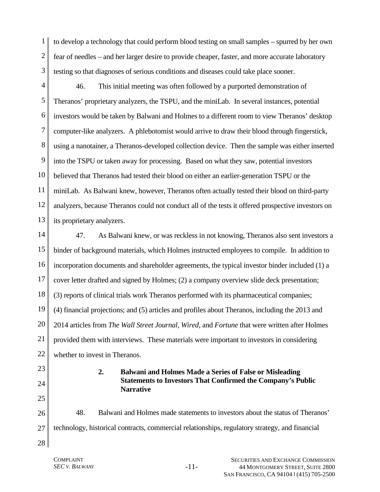1 2 3 to develop a technology that could perform blood testing on small samples – spurred by her own fear of needles – and her larger desire to provide cheaper, faster, and more accurate laboratory testing so that diagnoses of serious conditions and diseases could take place sooner.

4 5 6 7 8 9 10 11 12 13 46. This initial meeting was often followed by a purported demonstration of Theranos' proprietary analyzers, the TSPU, and the miniLab. In several instances, potential investors would be taken by Balwani and Holmes to a different room to view Theranos' desktop computer-like analyzers. A phlebotomist would arrive to draw their blood through fingerstick, using a nanotainer, a Theranos-developed collection device. Then the sample was either inserted into the TSPU or taken away for processing. Based on what they saw, potential investors believed that Theranos had tested their blood on either an earlier-generation TSPU or the miniLab. As Balwani knew, however, Theranos often actually tested their blood on third-party analyzers, because Theranos could not conduct all of the tests it offered prospective investors on its proprietary analyzers.

14 15 16 17 18 19 20 21 22 47. As Balwani knew, or was reckless in not knowing, Theranos also sent investors a binder of background materials, which Holmes instructed employees to compile. In addition to incorporation documents and shareholder agreements, the typical investor binder included (1) a cover letter drafted and signed by Holmes; (2) a company overview slide deck presentation; (3) reports of clinical trials work Theranos performed with its pharmaceutical companies; (4) financial projections; and (5) articles and profiles about Theranos, including the 2013 and 2014 articles from *The Wall Street Journal*, *Wired*, and *Fortune* that were written after Holmes provided them with interviews. These materials were important to investors in considering whether to invest in Theranos.

23 24

25

**2. Balwani and Holmes Made a Series of False or Misleading Statements to Investors That Confirmed the Company's Public Narrative**

26 27 48. Balwani and Holmes made statements to investors about the status of Theranos' technology, historical contracts, commercial relationships, regulatory strategy, and financial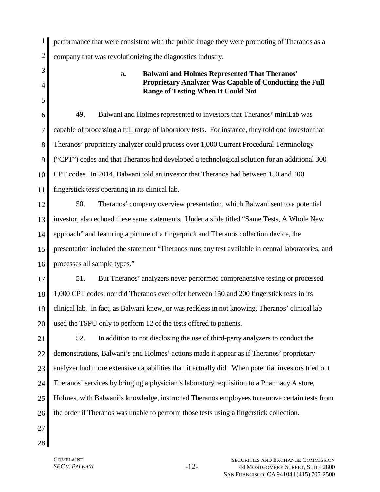1 2 performance that were consistent with the public image they were promoting of Theranos as a company that was revolutionizing the diagnostics industry.

3 4

5

## **a. Balwani and Holmes Represented That Theranos' Proprietary Analyzer Was Capable of Conducting the Full Range of Testing When It Could Not**

6 7 8 9 10 11 49. Balwani and Holmes represented to investors that Theranos' miniLab was capable of processing a full range of laboratory tests. For instance, they told one investor that Theranos' proprietary analyzer could process over 1,000 Current Procedural Terminology ("CPT") codes and that Theranos had developed a technological solution for an additional 300 CPT codes. In 2014, Balwani told an investor that Theranos had between 150 and 200 fingerstick tests operating in its clinical lab.

12 13 14 15 16 50. Theranos' company overview presentation, which Balwani sent to a potential investor, also echoed these same statements. Under a slide titled "Same Tests, A Whole New approach" and featuring a picture of a fingerprick and Theranos collection device, the presentation included the statement "Theranos runs any test available in central laboratories, and processes all sample types."

17 18 19 20 51. But Theranos' analyzers never performed comprehensive testing or processed 1,000 CPT codes, nor did Theranos ever offer between 150 and 200 fingerstick tests in its clinical lab. In fact, as Balwani knew, or was reckless in not knowing, Theranos' clinical lab used the TSPU only to perform 12 of the tests offered to patients.

21 22 23 24 25 26 52. In addition to not disclosing the use of third-party analyzers to conduct the demonstrations, Balwani's and Holmes' actions made it appear as if Theranos' proprietary analyzer had more extensive capabilities than it actually did. When potential investors tried out Theranos' services by bringing a physician's laboratory requisition to a Pharmacy A store, Holmes, with Balwani's knowledge, instructed Theranos employees to remove certain tests from the order if Theranos was unable to perform those tests using a fingerstick collection.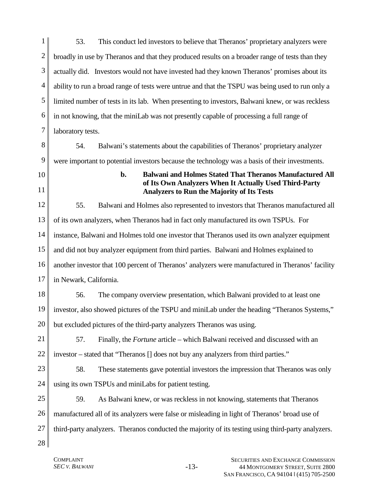| 1 <sup>1</sup> | This conduct led investors to believe that Theranos' proprietary analyzers were<br>53.           |
|----------------|--------------------------------------------------------------------------------------------------|
|                | broadly in use by Theranos and that they produced results on a broader range of tests than they  |
| 3 <sup>1</sup> | actually did. Investors would not have invested had they known Theranos' promises about its      |
|                | ability to run a broad range of tests were untrue and that the TSPU was being used to run only a |
| 5 <sub>1</sub> | limited number of tests in its lab. When presenting to investors, Balwani knew, or was reckless  |
| 6              | in not knowing, that the miniLab was not presently capable of processing a full range of         |
|                | laboratory tests.                                                                                |
|                |                                                                                                  |

8 9 54. Balwani's statements about the capabilities of Theranos' proprietary analyzer were important to potential investors because the technology was a basis of their investments.

- 10
- 11

**b. Balwani and Holmes Stated That Theranos Manufactured All of Its Own Analyzers When It Actually Used Third-Party Analyzers to Run the Majority of Its Tests**

12 13 14 15 16 17 55. Balwani and Holmes also represented to investors that Theranos manufactured all of its own analyzers, when Theranos had in fact only manufactured its own TSPUs. For instance, Balwani and Holmes told one investor that Theranos used its own analyzer equipment and did not buy analyzer equipment from third parties. Balwani and Holmes explained to another investor that 100 percent of Theranos' analyzers were manufactured in Theranos' facility in Newark, California.

18 19 20 56. The company overview presentation, which Balwani provided to at least one investor, also showed pictures of the TSPU and miniLab under the heading "Theranos Systems," but excluded pictures of the third-party analyzers Theranos was using.

21 22 57. Finally, the *Fortune* article – which Balwani received and discussed with an investor – stated that "Theranos [] does not buy any analyzers from third parties."

23 24 58. These statements gave potential investors the impression that Theranos was only using its own TSPUs and miniLabs for patient testing.

25 26 27 59. As Balwani knew, or was reckless in not knowing, statements that Theranos manufactured all of its analyzers were false or misleading in light of Theranos' broad use of third-party analyzers. Theranos conducted the majority of its testing using third-party analyzers.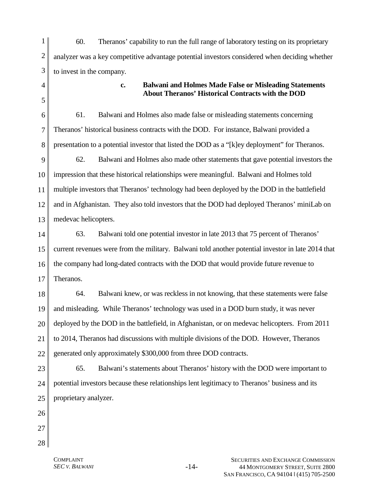1 2 3 60. Theranos' capability to run the full range of laboratory testing on its proprietary analyzer was a key competitive advantage potential investors considered when deciding whether to invest in the company.

4

5

#### **c. Balwani and Holmes Made False or Misleading Statements About Theranos' Historical Contracts with the DOD**

6 7 8 9 10 11 12 13 61. Balwani and Holmes also made false or misleading statements concerning Theranos' historical business contracts with the DOD. For instance, Balwani provided a presentation to a potential investor that listed the DOD as a "[k]ey deployment" for Theranos. 62. Balwani and Holmes also made other statements that gave potential investors the impression that these historical relationships were meaningful. Balwani and Holmes told multiple investors that Theranos' technology had been deployed by the DOD in the battlefield and in Afghanistan. They also told investors that the DOD had deployed Theranos' miniLab on medevac helicopters.

14 15 16 17 63. Balwani told one potential investor in late 2013 that 75 percent of Theranos' current revenues were from the military. Balwani told another potential investor in late 2014 that the company had long-dated contracts with the DOD that would provide future revenue to Theranos.

18 19 20 21 22 64. Balwani knew, or was reckless in not knowing, that these statements were false and misleading. While Theranos' technology was used in a DOD burn study, it was never deployed by the DOD in the battlefield, in Afghanistan, or on medevac helicopters. From 2011 to 2014, Theranos had discussions with multiple divisions of the DOD. However, Theranos generated only approximately \$300,000 from three DOD contracts.

23 24 25 65. Balwani's statements about Theranos' history with the DOD were important to potential investors because these relationships lent legitimacy to Theranos' business and its proprietary analyzer.

- 26 27
- 28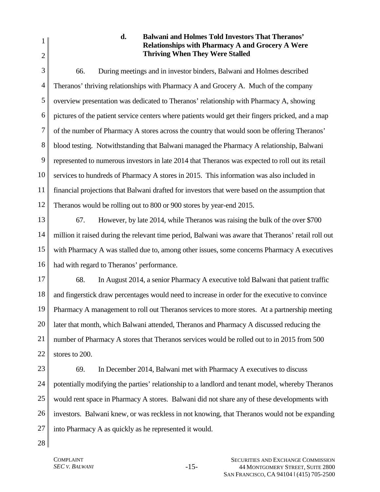1 2

# **d. Balwani and Holmes Told Investors That Theranos' Relationships with Pharmacy A and Grocery A Were Thriving When They Were Stalled**

3 4 5 6 7 8 9 10 11 12 66. During meetings and in investor binders, Balwani and Holmes described Theranos' thriving relationships with Pharmacy A and Grocery A. Much of the company overview presentation was dedicated to Theranos' relationship with Pharmacy A, showing pictures of the patient service centers where patients would get their fingers pricked, and a map of the number of Pharmacy A stores across the country that would soon be offering Theranos' blood testing. Notwithstanding that Balwani managed the Pharmacy A relationship, Balwani represented to numerous investors in late 2014 that Theranos was expected to roll out its retail services to hundreds of Pharmacy A stores in 2015. This information was also included in financial projections that Balwani drafted for investors that were based on the assumption that Theranos would be rolling out to 800 or 900 stores by year-end 2015.

13 14 15 16 67. However, by late 2014, while Theranos was raising the bulk of the over \$700 million it raised during the relevant time period, Balwani was aware that Theranos' retail roll out with Pharmacy A was stalled due to, among other issues, some concerns Pharmacy A executives had with regard to Theranos' performance.

17 18 19 20 21 22 68. In August 2014, a senior Pharmacy A executive told Balwani that patient traffic and fingerstick draw percentages would need to increase in order for the executive to convince Pharmacy A management to roll out Theranos services to more stores. At a partnership meeting later that month, which Balwani attended, Theranos and Pharmacy A discussed reducing the number of Pharmacy A stores that Theranos services would be rolled out to in 2015 from 500 stores to 200.

23 24 25 26 27 69. In December 2014, Balwani met with Pharmacy A executives to discuss potentially modifying the parties' relationship to a landlord and tenant model, whereby Theranos would rent space in Pharmacy A stores. Balwani did not share any of these developments with investors. Balwani knew, or was reckless in not knowing, that Theranos would not be expanding into Pharmacy A as quickly as he represented it would.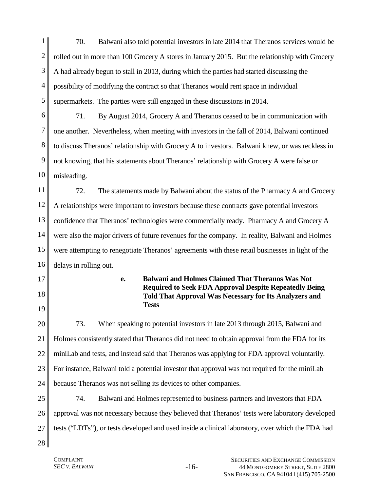1 2 3 4 5 70. Balwani also told potential investors in late 2014 that Theranos services would be rolled out in more than 100 Grocery A stores in January 2015. But the relationship with Grocery A had already begun to stall in 2013, during which the parties had started discussing the possibility of modifying the contract so that Theranos would rent space in individual supermarkets. The parties were still engaged in these discussions in 2014.

6 7 8 9 10 71. By August 2014, Grocery A and Theranos ceased to be in communication with one another. Nevertheless, when meeting with investors in the fall of 2014, Balwani continued to discuss Theranos' relationship with Grocery A to investors. Balwani knew, or was reckless in not knowing, that his statements about Theranos' relationship with Grocery A were false or misleading.

11 12 13 14 15 16 72. The statements made by Balwani about the status of the Pharmacy A and Grocery A relationships were important to investors because these contracts gave potential investors confidence that Theranos' technologies were commercially ready. Pharmacy A and Grocery A were also the major drivers of future revenues for the company. In reality, Balwani and Holmes were attempting to renegotiate Theranos' agreements with these retail businesses in light of the delays in rolling out.

17

18

19

**e. Balwani and Holmes Claimed That Theranos Was Not Required to Seek FDA Approval Despite Repeatedly Being Told That Approval Was Necessary for Its Analyzers and Tests**

20 21 22 23 24 73. When speaking to potential investors in late 2013 through 2015, Balwani and Holmes consistently stated that Theranos did not need to obtain approval from the FDA for its miniLab and tests, and instead said that Theranos was applying for FDA approval voluntarily. For instance, Balwani told a potential investor that approval was not required for the miniLab because Theranos was not selling its devices to other companies.

25 26 27 74. Balwani and Holmes represented to business partners and investors that FDA approval was not necessary because they believed that Theranos' tests were laboratory developed tests ("LDTs"), or tests developed and used inside a clinical laboratory, over which the FDA had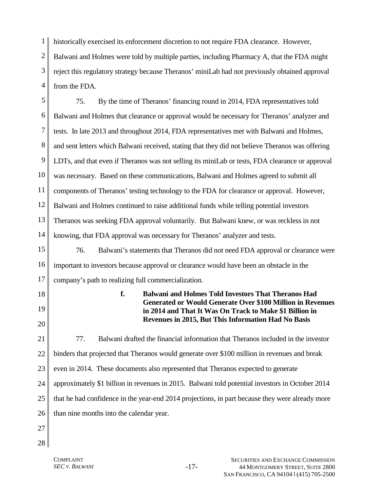1 historically exercised its enforcement discretion to not require FDA clearance. However,

2 3 4 Balwani and Holmes were told by multiple parties, including Pharmacy A, that the FDA might reject this regulatory strategy because Theranos' miniLab had not previously obtained approval from the FDA.

5 6 7 8 9 10 11 12 13 14 15 16 17 18 19 20 75. By the time of Theranos' financing round in 2014, FDA representatives told Balwani and Holmes that clearance or approval would be necessary for Theranos' analyzer and tests. In late 2013 and throughout 2014, FDA representatives met with Balwani and Holmes, and sent letters which Balwani received, stating that they did not believe Theranos was offering LDTs, and that even if Theranos was not selling its miniLab or tests, FDA clearance or approval was necessary. Based on these communications, Balwani and Holmes agreed to submit all components of Theranos' testing technology to the FDA for clearance or approval. However, Balwani and Holmes continued to raise additional funds while telling potential investors Theranos was seeking FDA approval voluntarily. But Balwani knew, or was reckless in not knowing, that FDA approval was necessary for Theranos' analyzer and tests. 76. Balwani's statements that Theranos did not need FDA approval or clearance were important to investors because approval or clearance would have been an obstacle in the company's path to realizing full commercialization. **f. Balwani and Holmes Told Investors That Theranos Had Generated or Would Generate Over \$100 Million in Revenues in 2014 and That It Was On Track to Make \$1 Billion in Revenues in 2015, But This Information Had No Basis** 

21 22 23 24 25 26 77. Balwani drafted the financial information that Theranos included in the investor binders that projected that Theranos would generate over \$100 million in revenues and break even in 2014. These documents also represented that Theranos expected to generate approximately \$1 billion in revenues in 2015. Balwani told potential investors in October 2014 that he had confidence in the year-end 2014 projections, in part because they were already more than nine months into the calendar year.

- 27
- 28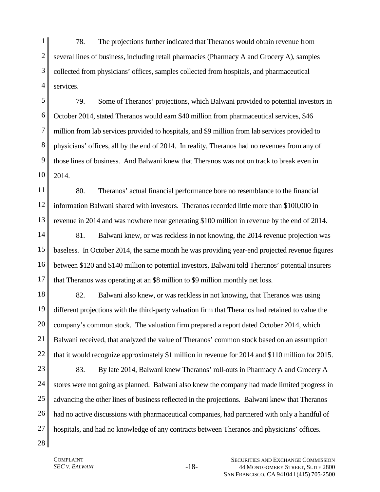1 2 3 4 78. The projections further indicated that Theranos would obtain revenue from several lines of business, including retail pharmacies (Pharmacy A and Grocery A), samples collected from physicians' offices, samples collected from hospitals, and pharmaceutical services.

5 6 7 8 9 10 79. Some of Theranos' projections, which Balwani provided to potential investors in October 2014, stated Theranos would earn \$40 million from pharmaceutical services, \$46 million from lab services provided to hospitals, and \$9 million from lab services provided to physicians' offices, all by the end of 2014. In reality, Theranos had no revenues from any of those lines of business. And Balwani knew that Theranos was not on track to break even in 2014.

11 12 13 80. Theranos' actual financial performance bore no resemblance to the financial information Balwani shared with investors. Theranos recorded little more than \$100,000 in revenue in 2014 and was nowhere near generating \$100 million in revenue by the end of 2014.

14 15 16 17 81. Balwani knew, or was reckless in not knowing, the 2014 revenue projection was baseless. In October 2014, the same month he was providing year-end projected revenue figures between \$120 and \$140 million to potential investors, Balwani told Theranos' potential insurers that Theranos was operating at an \$8 million to \$9 million monthly net loss.

18 19 20 21 22 82. Balwani also knew, or was reckless in not knowing, that Theranos was using different projections with the third-party valuation firm that Theranos had retained to value the company's common stock. The valuation firm prepared a report dated October 2014, which Balwani received, that analyzed the value of Theranos' common stock based on an assumption that it would recognize approximately \$1 million in revenue for 2014 and \$110 million for 2015.

23 24 25 26 27 83. By late 2014, Balwani knew Theranos' roll-outs in Pharmacy A and Grocery A stores were not going as planned. Balwani also knew the company had made limited progress in advancing the other lines of business reflected in the projections. Balwani knew that Theranos had no active discussions with pharmaceutical companies, had partnered with only a handful of hospitals, and had no knowledge of any contracts between Theranos and physicians' offices.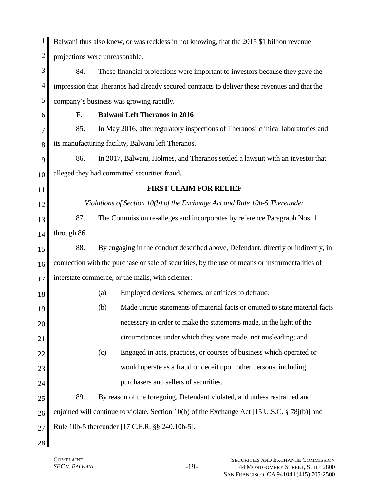| $\mathbf{1}$   | Balwani thus also knew, or was reckless in not knowing, that the 2015 \$1 billion revenue       |                                                                                               |  |
|----------------|-------------------------------------------------------------------------------------------------|-----------------------------------------------------------------------------------------------|--|
| $\overline{2}$ | projections were unreasonable.                                                                  |                                                                                               |  |
| 3              | 84.                                                                                             | These financial projections were important to investors because they gave the                 |  |
| $\overline{4}$ |                                                                                                 | impression that Theranos had already secured contracts to deliver these revenues and that the |  |
| 5              |                                                                                                 | company's business was growing rapidly.                                                       |  |
| 6              | F.                                                                                              | <b>Balwani Left Theranos in 2016</b>                                                          |  |
| 7              | 85.                                                                                             | In May 2016, after regulatory inspections of Theranos' clinical laboratories and              |  |
| 8              |                                                                                                 | its manufacturing facility, Balwani left Theranos.                                            |  |
| 9              | 86.                                                                                             | In 2017, Balwani, Holmes, and Theranos settled a lawsuit with an investor that                |  |
| 10             |                                                                                                 | alleged they had committed securities fraud.                                                  |  |
| 11             | <b>FIRST CLAIM FOR RELIEF</b>                                                                   |                                                                                               |  |
| 12             |                                                                                                 | Violations of Section 10(b) of the Exchange Act and Rule 10b-5 Thereunder                     |  |
| 13             | 87.                                                                                             | The Commission re-alleges and incorporates by reference Paragraph Nos. 1                      |  |
| 14             | through 86.                                                                                     |                                                                                               |  |
| 15             | 88.                                                                                             | By engaging in the conduct described above, Defendant, directly or indirectly, in             |  |
| 16             | connection with the purchase or sale of securities, by the use of means or instrumentalities of |                                                                                               |  |
| 17             | interstate commerce, or the mails, with scienter:                                               |                                                                                               |  |
| 18             |                                                                                                 | Employed devices, schemes, or artifices to defraud;<br>(a)                                    |  |
| 19             |                                                                                                 | Made untrue statements of material facts or omitted to state material facts<br>(b)            |  |
| 20             |                                                                                                 | necessary in order to make the statements made, in the light of the                           |  |
| 21             |                                                                                                 | circumstances under which they were made, not misleading; and                                 |  |
| 22             |                                                                                                 | Engaged in acts, practices, or courses of business which operated or<br>(c)                   |  |
| 23             |                                                                                                 | would operate as a fraud or deceit upon other persons, including                              |  |
| 24             |                                                                                                 | purchasers and sellers of securities.                                                         |  |
| 25             | 89.                                                                                             | By reason of the foregoing, Defendant violated, and unless restrained and                     |  |
| 26             | enjoined will continue to violate, Section 10(b) of the Exchange Act [15 U.S.C. § 78j(b)] and   |                                                                                               |  |
| 27             |                                                                                                 | Rule 10b-5 thereunder [17 C.F.R. §§ 240.10b-5].                                               |  |
| 28             |                                                                                                 |                                                                                               |  |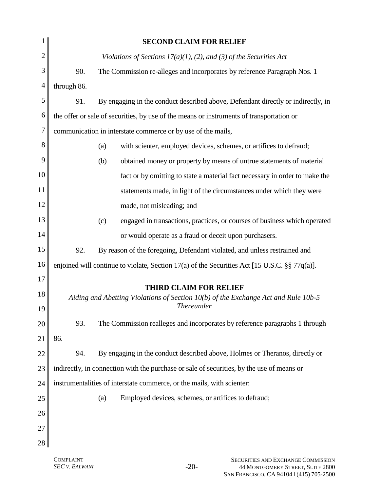| 1              | <b>SECOND CLAIM FOR RELIEF</b>                                                                  |  |
|----------------|-------------------------------------------------------------------------------------------------|--|
| $\overline{c}$ | Violations of Sections $17(a)(1)$ , (2), and (3) of the Securities Act                          |  |
| 3              | 90.<br>The Commission re-alleges and incorporates by reference Paragraph Nos. 1                 |  |
| $\overline{4}$ | through 86.                                                                                     |  |
| 5              | 91.<br>By engaging in the conduct described above, Defendant directly or indirectly, in         |  |
| 6              | the offer or sale of securities, by use of the means or instruments of transportation or        |  |
| 7              | communication in interstate commerce or by use of the mails,                                    |  |
| 8              | with scienter, employed devices, schemes, or artifices to defraud;<br>(a)                       |  |
| 9              | obtained money or property by means of untrue statements of material<br>(b)                     |  |
| 10             | fact or by omitting to state a material fact necessary in order to make the                     |  |
| 11             | statements made, in light of the circumstances under which they were                            |  |
| 12             | made, not misleading; and                                                                       |  |
| 13             | engaged in transactions, practices, or courses of business which operated<br>(c)                |  |
| 14             | or would operate as a fraud or deceit upon purchasers.                                          |  |
| 15             | 92.<br>By reason of the foregoing, Defendant violated, and unless restrained and                |  |
| 16             | enjoined will continue to violate, Section 17(a) of the Securities Act [15 U.S.C. $\S$ 77q(a)]. |  |
| 17             | <b>THIRD CLAIM FOR RELIEF</b>                                                                   |  |
| 18             | Aiding and Abetting Violations of Section 10(b) of the Exchange Act and Rule 10b-5              |  |
| 19             | <b>Thereunder</b>                                                                               |  |
| 20             | The Commission realleges and incorporates by reference paragraphs 1 through<br>93.              |  |
| 21             | 86.                                                                                             |  |
| 22             | By engaging in the conduct described above, Holmes or Theranos, directly or<br>94.              |  |
| 23             | indirectly, in connection with the purchase or sale of securities, by the use of means or       |  |
| 24             | instrumentalities of interstate commerce, or the mails, with scienter:                          |  |
| 25             | Employed devices, schemes, or artifices to defraud;<br>(a)                                      |  |
| 26             |                                                                                                 |  |
| 27             |                                                                                                 |  |
| 28             |                                                                                                 |  |
|                |                                                                                                 |  |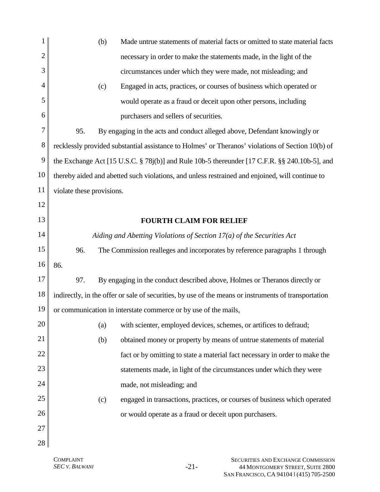| 1  | (b)<br>Made untrue statements of material facts or omitted to state material facts                   |  |  |
|----|------------------------------------------------------------------------------------------------------|--|--|
| 2  | necessary in order to make the statements made, in the light of the                                  |  |  |
| 3  | circumstances under which they were made, not misleading; and                                        |  |  |
| 4  | Engaged in acts, practices, or courses of business which operated or<br>(c)                          |  |  |
| 5  | would operate as a fraud or deceit upon other persons, including                                     |  |  |
| 6  | purchasers and sellers of securities.                                                                |  |  |
| 7  | 95.<br>By engaging in the acts and conduct alleged above, Defendant knowingly or                     |  |  |
| 8  | recklessly provided substantial assistance to Holmes' or Theranos' violations of Section 10(b) of    |  |  |
| 9  | the Exchange Act [15 U.S.C. § 78j(b)] and Rule 10b-5 thereunder [17 C.F.R. §§ 240.10b-5], and        |  |  |
| 10 | thereby aided and abetted such violations, and unless restrained and enjoined, will continue to      |  |  |
| 11 | violate these provisions.                                                                            |  |  |
| 12 |                                                                                                      |  |  |
| 13 | <b>FOURTH CLAIM FOR RELIEF</b>                                                                       |  |  |
| 14 | Aiding and Abetting Violations of Section $17(a)$ of the Securities Act                              |  |  |
| 15 | 96.<br>The Commission realleges and incorporates by reference paragraphs 1 through                   |  |  |
| 16 | 86.                                                                                                  |  |  |
| 17 | 97.<br>By engaging in the conduct described above, Holmes or Theranos directly or                    |  |  |
| 18 | indirectly, in the offer or sale of securities, by use of the means or instruments of transportation |  |  |
| 19 | or communication in interstate commerce or by use of the mails,                                      |  |  |
| 20 | with scienter, employed devices, schemes, or artifices to defraud;<br>(a)                            |  |  |
| 21 | obtained money or property by means of untrue statements of material<br>(b)                          |  |  |
| 22 | fact or by omitting to state a material fact necessary in order to make the                          |  |  |
| 23 | statements made, in light of the circumstances under which they were                                 |  |  |
| 24 | made, not misleading; and                                                                            |  |  |
| 25 | engaged in transactions, practices, or courses of business which operated<br>(c)                     |  |  |
| 26 | or would operate as a fraud or deceit upon purchasers.                                               |  |  |
| 27 |                                                                                                      |  |  |
| 28 |                                                                                                      |  |  |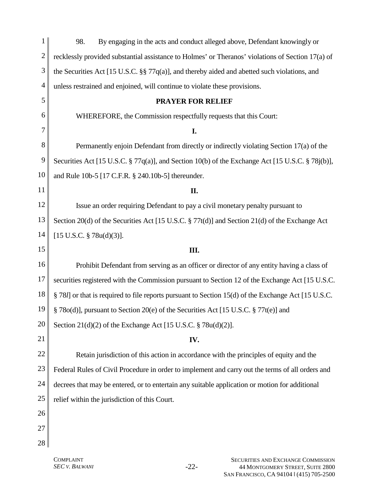| 1              | 98.<br>By engaging in the acts and conduct alleged above, Defendant knowingly or                             |
|----------------|--------------------------------------------------------------------------------------------------------------|
| $\overline{c}$ | recklessly provided substantial assistance to Holmes' or Theranos' violations of Section 17(a) of            |
| 3              | the Securities Act [15 U.S.C. §§ 77q(a)], and thereby aided and abetted such violations, and                 |
| $\overline{4}$ | unless restrained and enjoined, will continue to violate these provisions.                                   |
| 5              | <b>PRAYER FOR RELIEF</b>                                                                                     |
| 6              | WHEREFORE, the Commission respectfully requests that this Court:                                             |
| 7              | I.                                                                                                           |
| 8              | Permanently enjoin Defendant from directly or indirectly violating Section 17(a) of the                      |
| 9              | Securities Act [15 U.S.C. § 77q(a)], and Section 10(b) of the Exchange Act [15 U.S.C. § 78j(b)],             |
| 10             | and Rule 10b-5 [17 C.F.R. § 240.10b-5] thereunder.                                                           |
| 11             | II.                                                                                                          |
| 12             | Issue an order requiring Defendant to pay a civil monetary penalty pursuant to                               |
| 13             | Section 20(d) of the Securities Act [15 U.S.C. $\S 77t(d)$ ] and Section 21(d) of the Exchange Act           |
| 14             | $[15 \text{ U.S.C. } § 78u(d)(3)].$                                                                          |
| 15             | Ш.                                                                                                           |
| 16             | Prohibit Defendant from serving as an officer or director of any entity having a class of                    |
| 17             | securities registered with the Commission pursuant to Section 12 of the Exchange Act [15 U.S.C.              |
| 18             | § 78 <i>l</i> ] or that is required to file reports pursuant to Section 15(d) of the Exchange Act [15 U.S.C. |
| 19             | § 78o(d)], pursuant to Section 20(e) of the Securities Act [15 U.S.C. § 77t(e)] and                          |
| 20             | Section 21(d)(2) of the Exchange Act [15 U.S.C. $\S 78u(d)(2)$ ].                                            |
| 21             | IV.                                                                                                          |
| 22             | Retain jurisdiction of this action in accordance with the principles of equity and the                       |
| 23             | Federal Rules of Civil Procedure in order to implement and carry out the terms of all orders and             |
| 24             | decrees that may be entered, or to entertain any suitable application or motion for additional               |
| 25             | relief within the jurisdiction of this Court.                                                                |
| 26             |                                                                                                              |
| 27             |                                                                                                              |
| 28             |                                                                                                              |
|                | COMPI AINT<br><b>SECUPITIES AND EVCHANGE COMMISSION</b>                                                      |